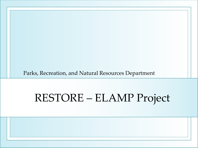Parks, Recreation, and Natural Resources Department

## RESTORE – ELAMP Project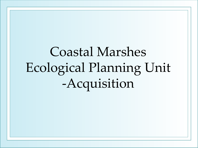# Coastal Marshes Ecological Planning Unit -Acquisition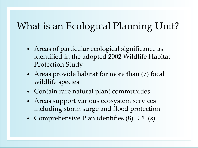### What is an Ecological Planning Unit?

- Areas of particular ecological significance as identified in the adopted 2002 Wildlife Habitat Protection Study
- Areas provide habitat for more than (7) focal wildlife species
- Contain rare natural plant communities
- Areas support various ecosystem services including storm surge and flood protection
- Comprehensive Plan identifies (8) EPU(s)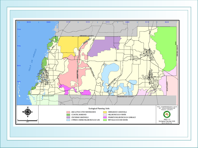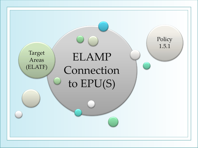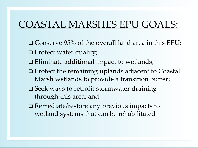### COASTAL MARSHES EPU GOALS:

- Conserve 95% of the overall land area in this EPU;
- □ Protect water quality;
- Eliminate additional impact to wetlands;
- Protect the remaining uplands adjacent to Coastal Marsh wetlands to provide a transition buffer;
- **□ Seek ways to retrofit stormwater draining** through this area; and
- □ Remediate/restore any previous impacts to wetland systems that can be rehabilitated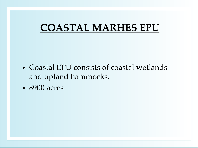### **COASTAL MARHES EPU**

- Coastal EPU consists of coastal wetlands and upland hammocks.
- 8900 acres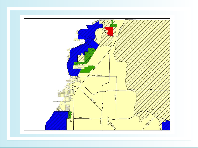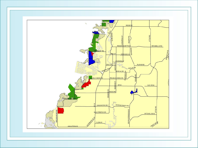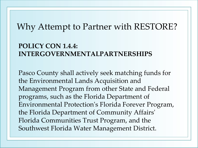### Why Attempt to Partner with RESTORE?

#### **POLICY CON 1.4.4: INTERGOVERNMENTALPARTNERSHIPS**

Pasco County shall actively seek matching funds for the Environmental Lands Acquisition and Management Program from other State and Federal programs, such as the Florida Department of Environmental Protection's Florida Forever Program, the Florida Department of Community Affairs' Florida Communities Trust Program, and the Southwest Florida Water Management District.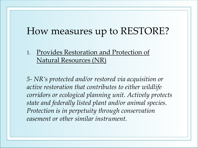### How measures up to RESTORE?

#### 1. Provides Restoration and Protection of Natural Resources (NR)

*5- NR's protected and/or restored via acquisition or active restoration that contributes to either wildlife corridors or ecological planning unit. Actively protects state and federally listed plant and/or animal species. Protection is in perpetuity through conservation easement or other similar instrument.*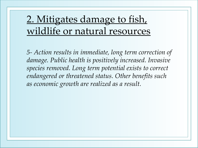### 2. Mitigates damage to fish, wildlife or natural resources

*5- Action results in immediate, long term correction of damage. Public health is positively increased. Invasive species removed. Long term potential exists to correct endangered or threatened status. Other benefits such as economic growth are realized as a result.*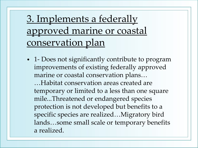### 3. Implements a federally approved marine or coastal conservation plan

• 1- Does not significantly contribute to program improvements of existing federally approved marine or coastal conservation plans…

…Habitat conservation areas created are temporary or limited to a less than one square mile...Threatened or endangered species protection is not developed but benefits to a specific species are realized…Migratory bird lands…some small scale or temporary benefits a realized.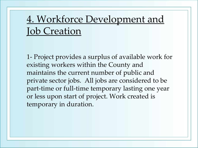### 4. Workforce Development and Job Creation

1- Project provides a surplus of available work for existing workers within the County and maintains the current number of public and private sector jobs. All jobs are considered to be part-time or full-time temporary lasting one year or less upon start of project. Work created is temporary in duration.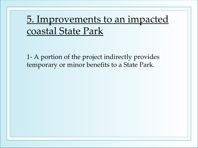### 5. Improvements to an impacted coastal State Park

1- A portion of the project indirectly provides temporary or minor benefits to a State Park.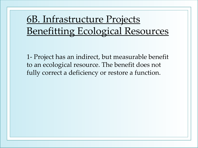6B. Infrastructure Projects Benefitting Ecological Resources

1- Project has an indirect, but measurable benefit to an ecological resource. The benefit does not fully correct a deficiency or restore a function.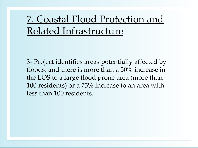### 7. Coastal Flood Protection and Related Infrastructure

3- Project identifies areas potentially affected by floods; and there is more than a 50% increase in the LOS to a large flood prone area (more than 100 residents) or a 75% increase to an area with less than 100 residents.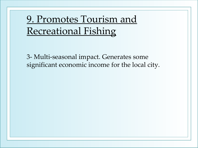### 9. Promotes Tourism and Recreational Fishing

3- Multi-seasonal impact. Generates some significant economic income for the local city.